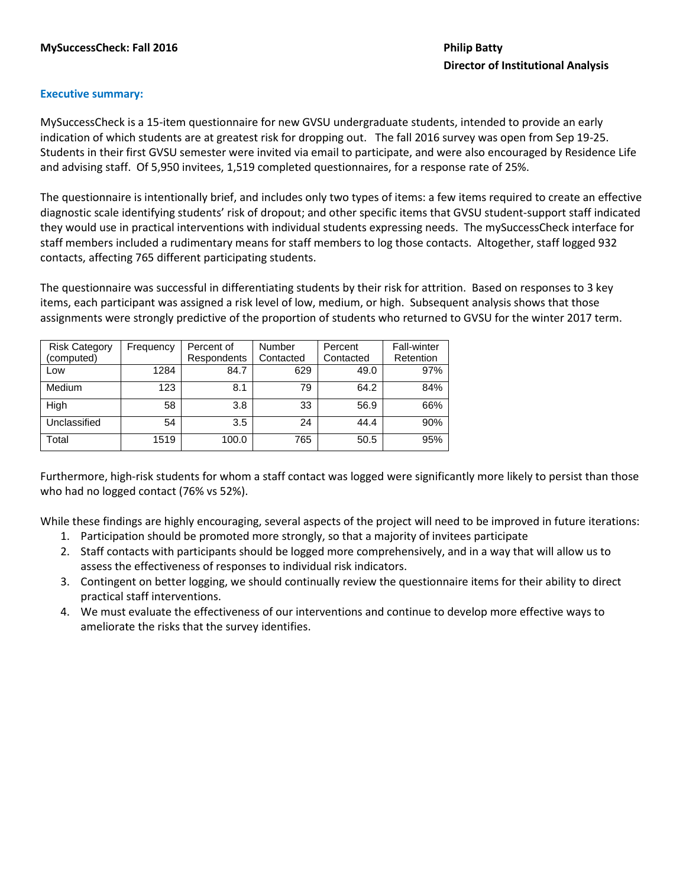# **Executive summary:**

MySuccessCheck is a 15-item questionnaire for new GVSU undergraduate students, intended to provide an early indication of which students are at greatest risk for dropping out. The fall 2016 survey was open from Sep 19-25. Students in their first GVSU semester were invited via email to participate, and were also encouraged by Residence Life and advising staff. Of 5,950 invitees, 1,519 completed questionnaires, for a response rate of 25%.

The questionnaire is intentionally brief, and includes only two types of items: a few items required to create an effective diagnostic scale identifying students' risk of dropout; and other specific items that GVSU student-support staff indicated they would use in practical interventions with individual students expressing needs. The mySuccessCheck interface for staff members included a rudimentary means for staff members to log those contacts. Altogether, staff logged 932 contacts, affecting 765 different participating students.

The questionnaire was successful in differentiating students by their risk for attrition. Based on responses to 3 key items, each participant was assigned a risk level of low, medium, or high. Subsequent analysis shows that those assignments were strongly predictive of the proportion of students who returned to GVSU for the winter 2017 term.

| <b>Risk Category</b> | Frequency | Percent of  | Number    | Percent   | <b>Fall-winter</b> |
|----------------------|-----------|-------------|-----------|-----------|--------------------|
| (computed)           |           | Respondents | Contacted | Contacted | Retention          |
| Low                  | 1284      | 84.7        | 629       | 49.0      | 97%                |
| Medium               | 123       | 8.1         | 79        | 64.2      | 84%                |
| High                 | 58        | 3.8         | 33        | 56.9      | 66%                |
| Unclassified         | 54        | 3.5         | 24        | 44.4      | 90%                |
| Total                | 1519      | 100.0       | 765       | 50.5      | 95%                |

Furthermore, high-risk students for whom a staff contact was logged were significantly more likely to persist than those who had no logged contact (76% vs 52%).

While these findings are highly encouraging, several aspects of the project will need to be improved in future iterations:

- 1. Participation should be promoted more strongly, so that a majority of invitees participate
- 2. Staff contacts with participants should be logged more comprehensively, and in a way that will allow us to assess the effectiveness of responses to individual risk indicators.
- 3. Contingent on better logging, we should continually review the questionnaire items for their ability to direct practical staff interventions.
- 4. We must evaluate the effectiveness of our interventions and continue to develop more effective ways to ameliorate the risks that the survey identifies.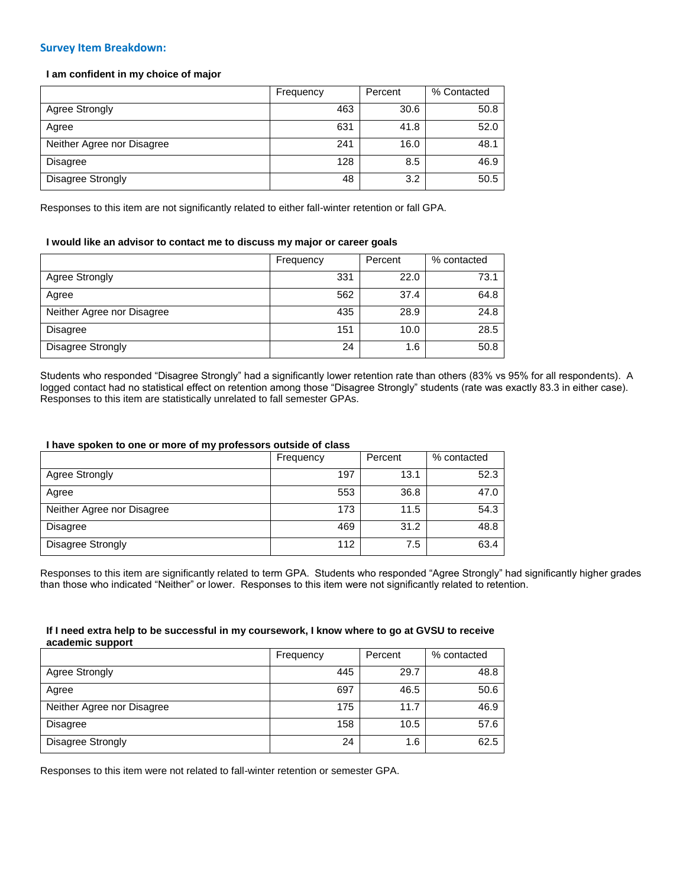## **Survey Item Breakdown:**

## **I am confident in my choice of major**

|                            | Frequency | Percent | % Contacted |
|----------------------------|-----------|---------|-------------|
| Agree Strongly             | 463       | 30.6    | 50.8        |
| Agree                      | 631       | 41.8    | 52.0        |
| Neither Agree nor Disagree | 241       | 16.0    | 48.1        |
| <b>Disagree</b>            | 128       | 8.5     | 46.9        |
| Disagree Strongly          | 48        | 3.2     | 50.5        |

Responses to this item are not significantly related to either fall-winter retention or fall GPA.

## **I would like an advisor to contact me to discuss my major or career goals**

|                            | Frequency | Percent | % contacted |
|----------------------------|-----------|---------|-------------|
| Agree Strongly             | 331       | 22.0    | 73.1        |
| Agree                      | 562       | 37.4    | 64.8        |
| Neither Agree nor Disagree | 435       | 28.9    | 24.8        |
| Disagree                   | 151       | 10.0    | 28.5        |
| Disagree Strongly          | 24        | 1.6     | 50.8        |

Students who responded "Disagree Strongly" had a significantly lower retention rate than others (83% vs 95% for all respondents). A logged contact had no statistical effect on retention among those "Disagree Strongly" students (rate was exactly 83.3 in either case). Responses to this item are statistically unrelated to fall semester GPAs.

### **I have spoken to one or more of my professors outside of class**

|                            | Frequency | Percent | % contacted |
|----------------------------|-----------|---------|-------------|
| Agree Strongly             | 197       | 13.1    | 52.3        |
| Agree                      | 553       | 36.8    | 47.0        |
| Neither Agree nor Disagree | 173       | 11.5    | 54.3        |
| <b>Disagree</b>            | 469       | 31.2    | 48.8        |
| Disagree Strongly          | 112       | 7.5     | 63.4        |

Responses to this item are significantly related to term GPA. Students who responded "Agree Strongly" had significantly higher grades than those who indicated "Neither" or lower. Responses to this item were not significantly related to retention.

### **If I need extra help to be successful in my coursework, I know where to go at GVSU to receive academic support**

|                            | Frequency | Percent | % contacted |
|----------------------------|-----------|---------|-------------|
| Agree Strongly             | 445       | 29.7    | 48.8        |
| Agree                      | 697       | 46.5    | 50.6        |
| Neither Agree nor Disagree | 175       | 11.7    | 46.9        |
| <b>Disagree</b>            | 158       | 10.5    | 57.6        |
| Disagree Strongly          | 24        | 1.6     | 62.5        |

Responses to this item were not related to fall-winter retention or semester GPA.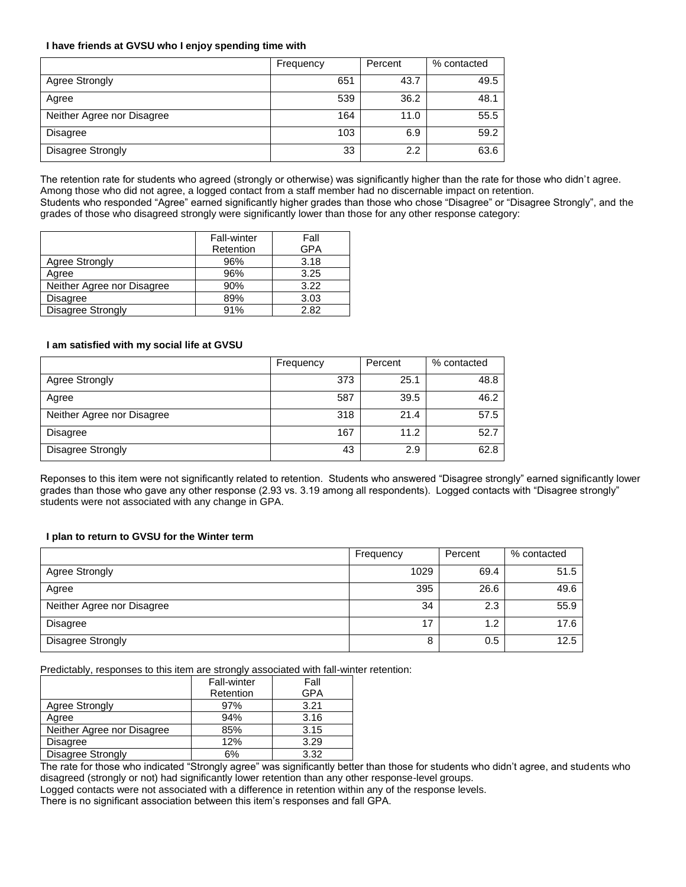## **I have friends at GVSU who I enjoy spending time with**

|                            | Frequency | Percent | % contacted |
|----------------------------|-----------|---------|-------------|
| Agree Strongly             | 651       | 43.7    | 49.5        |
| Agree                      | 539       | 36.2    | 48.1        |
| Neither Agree nor Disagree | 164       | 11.0    | 55.5        |
| <b>Disagree</b>            | 103       | 6.9     | 59.2        |
| Disagree Strongly          | 33        | 2.2     | 63.6        |

The retention rate for students who agreed (strongly or otherwise) was significantly higher than the rate for those who didn't agree. Among those who did not agree, a logged contact from a staff member had no discernable impact on retention. Students who responded "Agree" earned significantly higher grades than those who chose "Disagree" or "Disagree Strongly", and the grades of those who disagreed strongly were significantly lower than those for any other response category:

|                            | <b>Fall-winter</b> | Fall |
|----------------------------|--------------------|------|
|                            | Retention          | GPA  |
| <b>Agree Strongly</b>      | 96%                | 3.18 |
| Agree                      | 96%                | 3.25 |
| Neither Agree nor Disagree | 90%                | 3.22 |
| <b>Disagree</b>            | 89%                | 3.03 |
| Disagree Strongly          | 91%                | 2.82 |

## **I am satisfied with my social life at GVSU**

|                            | Frequency | Percent | % contacted |
|----------------------------|-----------|---------|-------------|
| Agree Strongly             | 373       | 25.1    | 48.8        |
| Agree                      | 587       | 39.5    | 46.2        |
| Neither Agree nor Disagree | 318       | 21.4    | 57.5        |
| <b>Disagree</b>            | 167       | 11.2    | 52.7        |
| Disagree Strongly          | 43        | 2.9     | 62.8        |

Reponses to this item were not significantly related to retention. Students who answered "Disagree strongly" earned significantly lower grades than those who gave any other response (2.93 vs. 3.19 among all respondents). Logged contacts with "Disagree strongly" students were not associated with any change in GPA.

# **I plan to return to GVSU for the Winter term**

|                            | Frequency | Percent | % contacted |
|----------------------------|-----------|---------|-------------|
| Agree Strongly             | 1029      | 69.4    | 51.5        |
| Agree                      | 395       | 26.6    | 49.6        |
| Neither Agree nor Disagree | 34        | 2.3     | 55.9        |
| <b>Disagree</b>            | 17        | 1.2     | 17.6        |
| Disagree Strongly          | 8         | 0.5     | 12.5        |

Predictably, responses to this item are strongly associated with fall-winter retention:

|                            | Fall-winter | Fall |
|----------------------------|-------------|------|
|                            | Retention   | GPA  |
| Agree Strongly             | 97%         | 3.21 |
| Agree                      | 94%         | 3.16 |
| Neither Agree nor Disagree | 85%         | 3.15 |
| <b>Disagree</b>            | 12%         | 3.29 |
| <b>Disagree Strongly</b>   | 6%          | 3.32 |

The rate for those who indicated "Strongly agree" was significantly better than those for students who didn't agree, and students who disagreed (strongly or not) had significantly lower retention than any other response-level groups.

Logged contacts were not associated with a difference in retention within any of the response levels.

There is no significant association between this item's responses and fall GPA.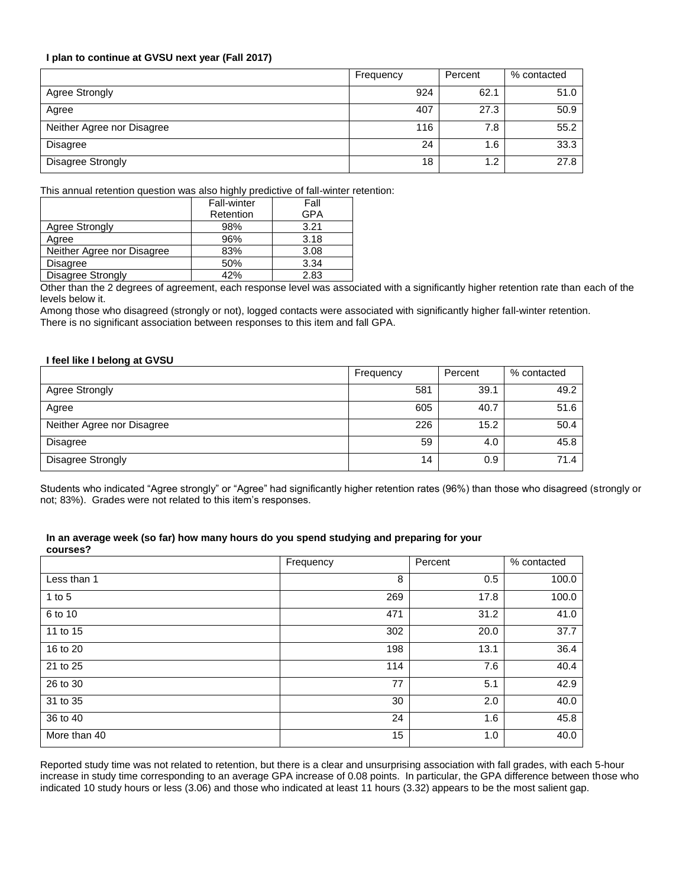## **I plan to continue at GVSU next year (Fall 2017)**

|                            | Frequency | Percent | % contacted |
|----------------------------|-----------|---------|-------------|
| Agree Strongly             | 924       | 62.1    | 51.0        |
| Agree                      | 407       | 27.3    | 50.9        |
| Neither Agree nor Disagree | 116       | 7.8     | 55.2        |
| <b>Disagree</b>            | 24        | 1.6     | 33.3        |
| Disagree Strongly          | 18        | 1.2     | 27.8        |

This annual retention question was also highly predictive of fall-winter retention:

|                            | <b>Fall-winter</b> | Fall |
|----------------------------|--------------------|------|
|                            | Retention          | GPA  |
| <b>Agree Strongly</b>      | 98%                | 3.21 |
| Agree                      | 96%                | 3.18 |
| Neither Agree nor Disagree | 83%                | 3.08 |
| <b>Disagree</b>            | 50%                | 3.34 |
| <b>Disagree Strongly</b>   | 42%                | 2.83 |

Other than the 2 degrees of agreement, each response level was associated with a significantly higher retention rate than each of the levels below it.

Among those who disagreed (strongly or not), logged contacts were associated with significantly higher fall-winter retention. There is no significant association between responses to this item and fall GPA.

### **I feel like I belong at GVSU**

|                            | Frequency | Percent | % contacted |
|----------------------------|-----------|---------|-------------|
| Agree Strongly             | 581       | 39.1    | 49.2        |
| Agree                      | 605       | 40.7    | 51.6        |
| Neither Agree nor Disagree | 226       | 15.2    | 50.4        |
| <b>Disagree</b>            | 59        | 4.0     | 45.8        |
| <b>Disagree Strongly</b>   | 14        | 0.9     | 71.4        |

Students who indicated "Agree strongly" or "Agree" had significantly higher retention rates (96%) than those who disagreed (strongly or not; 83%). Grades were not related to this item's responses.

#### **In an average week (so far) how many hours do you spend studying and preparing for your courses?**

|              | Frequency | Percent | % contacted |
|--------------|-----------|---------|-------------|
| Less than 1  | 8         | 0.5     | 100.0       |
| 1 to $5$     | 269       | 17.8    | 100.0       |
| 6 to 10      | 471       | 31.2    | 41.0        |
| 11 to 15     | 302       | 20.0    | 37.7        |
| 16 to 20     | 198       | 13.1    | 36.4        |
| 21 to 25     | 114       | 7.6     | 40.4        |
| 26 to 30     | 77        | 5.1     | 42.9        |
| 31 to 35     | 30        | 2.0     | 40.0        |
| 36 to 40     | 24        | 1.6     | 45.8        |
| More than 40 | 15        | 1.0     | 40.0        |

Reported study time was not related to retention, but there is a clear and unsurprising association with fall grades, with each 5-hour increase in study time corresponding to an average GPA increase of 0.08 points. In particular, the GPA difference between those who indicated 10 study hours or less (3.06) and those who indicated at least 11 hours (3.32) appears to be the most salient gap.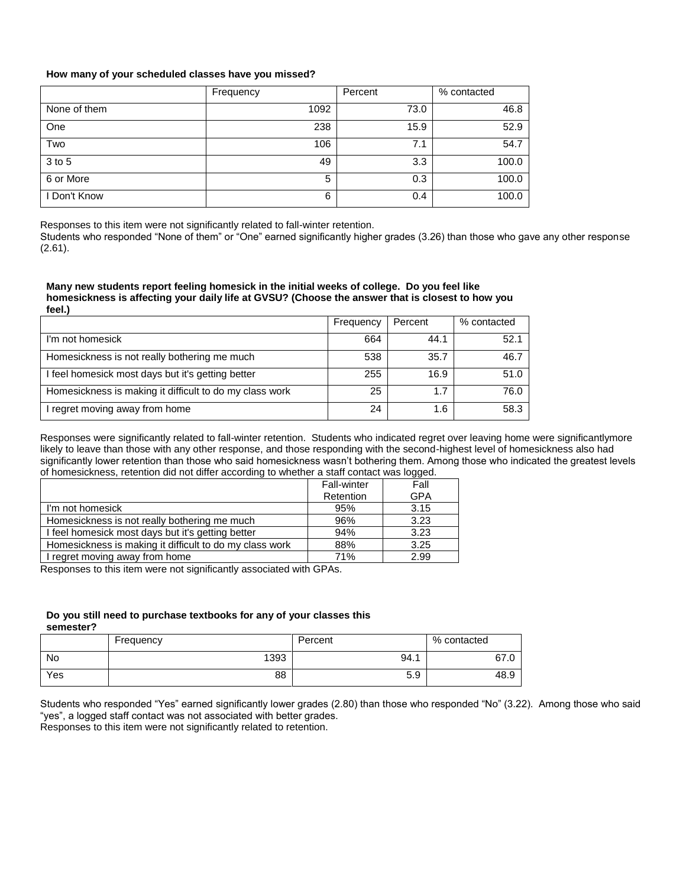## **How many of your scheduled classes have you missed?**

|              | Frequency | Percent | % contacted |
|--------------|-----------|---------|-------------|
| None of them | 1092      | 73.0    | 46.8        |
| One          | 238       | 15.9    | 52.9        |
| Two          | 106       | 7.1     | 54.7        |
| $3$ to $5$   | 49        | 3.3     | 100.0       |
| 6 or More    | 5         | 0.3     | 100.0       |
| I Don't Know | 6         | 0.4     | 100.0       |

Responses to this item were not significantly related to fall-winter retention.

Students who responded "None of them" or "One" earned significantly higher grades (3.26) than those who gave any other response (2.61).

### **Many new students report feeling homesick in the initial weeks of college. Do you feel like homesickness is affecting your daily life at GVSU? (Choose the answer that is closest to how you feel.)**

|                                                         | Frequency | Percent | % contacted |
|---------------------------------------------------------|-----------|---------|-------------|
| I'm not homesick                                        | 664       | 44.1    | 52.1        |
| Homesickness is not really bothering me much            | 538       | 35.7    | 46.7        |
| I feel homesick most days but it's getting better       | 255       | 16.9    | 51.0        |
| Homesickness is making it difficult to do my class work | 25        | 1.7     | 76.0        |
| I regret moving away from home                          | 24        | 1.6     | 58.3        |

Responses were significantly related to fall-winter retention. Students who indicated regret over leaving home were significantlymore likely to leave than those with any other response, and those responding with the second-highest level of homesickness also had significantly lower retention than those who said homesickness wasn't bothering them. Among those who indicated the greatest levels of homesickness, retention did not differ according to whether a staff contact was logged.

|                                                         | <b>Fall-winter</b> | Fall       |
|---------------------------------------------------------|--------------------|------------|
|                                                         | Retention          | <b>GPA</b> |
| I'm not homesick                                        | 95%                | 3.15       |
| Homesickness is not really bothering me much            | 96%                | 3.23       |
| I feel homesick most days but it's getting better       | 94%                | 3.23       |
| Homesickness is making it difficult to do my class work | 88%                | 3.25       |
| I regret moving away from home                          | 71%                | 2.99       |

Responses to this item were not significantly associated with GPAs.

#### **Do you still need to purchase textbooks for any of your classes this semester?**

Frequency Percent Network & Percent Network School and Network School and Network School and Network School and Network School and Network School and Network School and Network School and Network School and Network School No 1393 94.1 67.0 Yes 88 | 5.9 | 48.9

Students who responded "Yes" earned significantly lower grades (2.80) than those who responded "No" (3.22). Among those who said "yes", a logged staff contact was not associated with better grades. Responses to this item were not significantly related to retention.